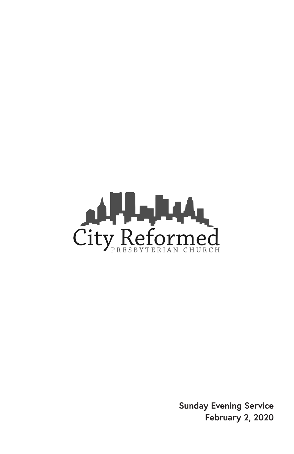

**Sunday Evening Service February 2, 2020**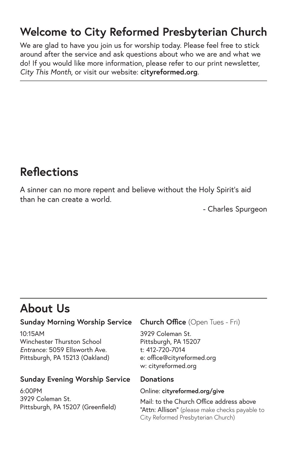### **Welcome to City Reformed Presbyterian Church**

We are glad to have you join us for worship today. Please feel free to stick around after the service and ask questions about who we are and what we do! If you would like more information, please refer to our print newsletter, *City This Month,* or visit our website: **cityreformed.org**.

#### **Reflections**

A sinner can no more repent and believe without the Holy Spirit's aid than he can create a world.

- Charles Spurgeon

### **About Us**

#### **Sunday Morning Worship Service**

10:15AM Winchester Thurston School *Entrance:* 5059 Ellsworth Ave. Pittsburgh, PA 15213 (Oakland)

#### **Sunday Evening Worship Service**

6:00PM 3929 Coleman St. Pittsburgh, PA 15207 (Greenfield)

#### **Church Office** (Open Tues - Fri)

3929 Coleman St. Pittsburgh, PA 15207 t: 412-720-7014 e: office@cityreformed.org w: cityreformed.org

#### **Donations**

#### Online: **cityreformed.org/give**

Mail: to the Church Office address above "Attn: Allison" (please make checks payable to City Reformed Presbyterian Church)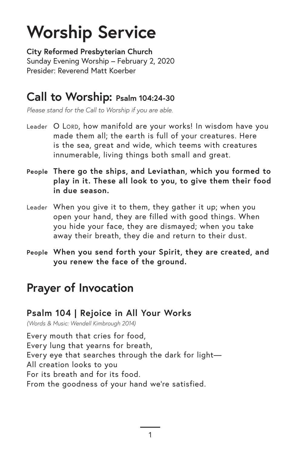# **Worship Service**

**City Reformed Presbyterian Church** Sunday Evening Worship – February 2, 2020 Presider: Reverend Matt Koerber

#### **Call to Worship: Psalm 104:24-30**

*Please stand for the Call to Worship if you are able.*

- Leader O LORD, how manifold are your works! In wisdom have you made them all; the earth is full of your creatures. Here is the sea, great and wide, which teems with creatures innumerable, living things both small and great.
- **People There go the ships, and Leviathan, which you formed to play in it. These all look to you, to give them their food in due season.**
- Leader When you give it to them, they gather it up; when you open your hand, they are filled with good things. When you hide your face, they are dismayed; when you take away their breath, they die and return to their dust.
- **People When you send forth your Spirit, they are created, and you renew the face of the ground.**

### **Prayer of Invocation**

#### **Psalm 104 | Rejoice in All Your Works**

*(Words & Music: Wendell Kimbrough 2014)*

Every mouth that cries for food, Every lung that yearns for breath, Every eye that searches through the dark for light— All creation looks to you For its breath and for its food. From the goodness of your hand we're satisfied.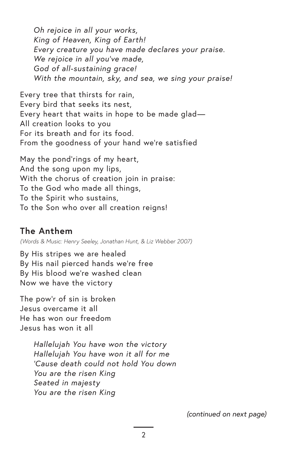*Oh rejoice in all your works, King of Heaven, King of Earth! Every creature you have made declares your praise. We rejoice in all you've made, God of all-sustaining grace! With the mountain, sky, and sea, we sing your praise!*

Every tree that thirsts for rain, Every bird that seeks its nest, Every heart that waits in hope to be made glad— All creation looks to you For its breath and for its food. From the goodness of your hand we're satisfied

May the pond'rings of my heart, And the song upon my lips, With the chorus of creation join in praise: To the God who made all things, To the Spirit who sustains, To the Son who over all creation reigns!

#### **The Anthem**

*(Words & Music: Henry Seeley, Jonathan Hunt, & Liz Webber 2007)*

By His stripes we are healed By His nail pierced hands we're free By His blood we're washed clean Now we have the victory

The pow'r of sin is broken Jesus overcame it all He has won our freedom Jesus has won it all

> *Hallelujah You have won the victory Hallelujah You have won it all for me 'Cause death could not hold You down You are the risen King Seated in majesty You are the risen King*

> > *(continued on next page)*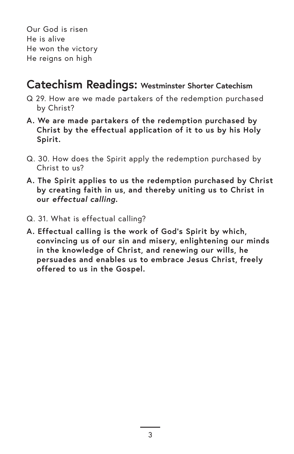Our God is risen He is alive He won the victory He reigns on high

#### **Catechism Readings: Westminster Shorter Catechism**

- Q 29. How are we made partakers of the redemption purchased by Christ?
- **A. We are made partakers of the redemption purchased by Christ by the effectual application of it to us by his Holy Spirit.**
- Q. 30. How does the Spirit apply the redemption purchased by Christ to us?
- **A. The Spirit applies to us the redemption purchased by Christ by creating faith in us, and thereby uniting us to Christ in our** *effectual calling***.**
- Q. 31. What is effectual calling?
- **A. Effectual calling is the work of God's Spirit by which, convincing us of our sin and misery, enlightening our minds in the knowledge of Christ, and renewing our wills, he persuades and enables us to embrace Jesus Christ, freely offered to us in the Gospel.**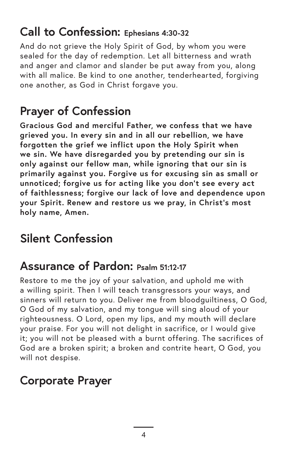#### **Call to Confession: Ephesians 4:30-32**

And do not grieve the Holy Spirit of God, by whom you were sealed for the day of redemption. Let all bitterness and wrath and anger and clamor and slander be put away from you, along with all malice. Be kind to one another, tenderhearted, forgiving one another, as God in Christ forgave you.

# **Prayer of Confession**

**Gracious God and merciful Father, we confess that we have grieved you. In every sin and in all our rebellion, we have forgotten the grief we inflict upon the Holy Spirit when we sin. We have disregarded you by pretending our sin is only against our fellow man, while ignoring that our sin is primarily against you. Forgive us for excusing sin as small or unnoticed; forgive us for acting like you don't see every act of faithlessness; forgive our lack of love and dependence upon your Spirit. Renew and restore us we pray, in Christ's most holy name, Amen.** 

# **Silent Confession**

### **Assurance of Pardon: Psalm 51:12-17**

Restore to me the joy of your salvation, and uphold me with a willing spirit. Then I will teach transgressors your ways, and sinners will return to you. Deliver me from bloodguiltiness, O God, O God of my salvation, and my tongue will sing aloud of your righteousness. O Lord, open my lips, and my mouth will declare your praise. For you will not delight in sacrifice, or I would give it; you will not be pleased with a burnt offering. The sacrifices of God are a broken spirit; a broken and contrite heart, O God, you will not despise.

# **Corporate Prayer**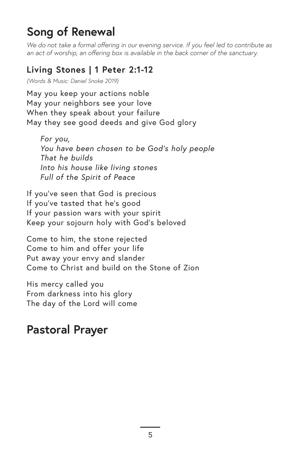### **Song of Renewal**

*We do not take a formal offering in our evening service. If you feel led to contribute as an act of worship, an offering box is available in the back corner of the sanctuary.*

#### **Living Stones | 1 Peter 2:1-12**

*(Words & Music: Daniel Snoke 2019)*

May you keep your actions noble May your neighbors see your love When they speak about your failure May they see good deeds and give God glory

*For you, You have been chosen to be God's holy people That he builds Into his house like living stones Full of the Spirit of Peace*

If you've seen that God is precious If you've tasted that he's good If your passion wars with your spirit Keep your sojourn holy with God's beloved

Come to him, the stone rejected Come to him and offer your life Put away your envy and slander Come to Christ and build on the Stone of Zion

His mercy called you From darkness into his glory The day of the Lord will come

### **Pastoral Prayer**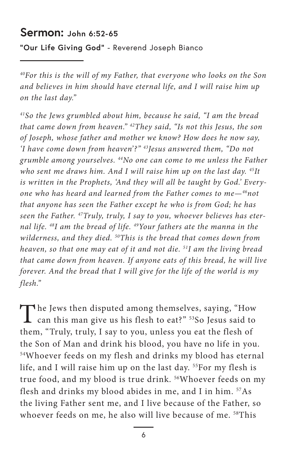#### **Sermon: John 6:52-65**

**"Our Life Giving God"** - Reverend Joseph Bianco

*40For this is the will of my Father, that everyone who looks on the Son and believes in him should have eternal life, and I will raise him up on the last day."*

*41So the Jews grumbled about him, because he said, "I am the bread that came down from heaven." 42They said, "Is not this Jesus, the son of Joseph, whose father and mother we know? How does he now say, 'I have come down from heaven'?" 43Jesus answered them, "Do not grumble among yourselves. 44No one can come to me unless the Father who sent me draws him. And I will raise him up on the last day. 45It is written in the Prophets, 'And they will all be taught by God.' Everyone who has heard and learned from the Father comes to me—46not that anyone has seen the Father except he who is from God; he has seen the Father. 47Truly, truly, I say to you, whoever believes has eternal life. 48I am the bread of life. 49Your fathers ate the manna in the wilderness, and they died. 50This is the bread that comes down from heaven, so that one may eat of it and not die. 51I am the living bread that came down from heaven. If anyone eats of this bread, he will live forever. And the bread that I will give for the life of the world is my flesh."*

The Jews then disputed among themselves, saying, "How can this man give us his flesh to eat?" <sup>53</sup>So Jesus said to them, "Truly, truly, I say to you, unless you eat the flesh of the Son of Man and drink his blood, you have no life in you. 54Whoever feeds on my flesh and drinks my blood has eternal life, and I will raise him up on the last day. 55For my flesh is true food, and my blood is true drink. 56Whoever feeds on my flesh and drinks my blood abides in me, and I in him.  $57As$ the living Father sent me, and I live because of the Father, so whoever feeds on me, he also will live because of me. <sup>58</sup>This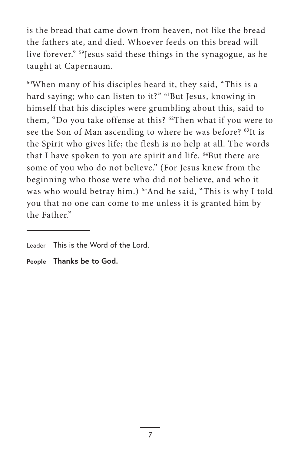is the bread that came down from heaven, not like the bread the fathers ate, and died. Whoever feeds on this bread will live forever." 59Jesus said these things in the synagogue, as he taught at Capernaum.

60When many of his disciples heard it, they said, "This is a hard saying; who can listen to it?" <sup>61</sup>But Jesus, knowing in himself that his disciples were grumbling about this, said to them, "Do you take offense at this? 62Then what if you were to see the Son of Man ascending to where he was before? 63It is the Spirit who gives life; the flesh is no help at all. The words that I have spoken to you are spirit and life. <sup>64</sup>But there are some of you who do not believe." (For Jesus knew from the beginning who those were who did not believe, and who it was who would betray him.) <sup>65</sup>And he said, "This is why I told you that no one can come to me unless it is granted him by the Father."

**People Thanks be to God.**

Leader This is the Word of the Lord.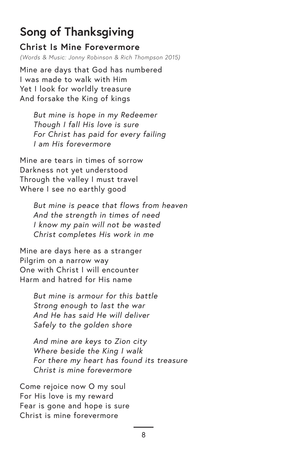# **Song of Thanksgiving**

#### **Christ Is Mine Forevermore**

*(Words & Music: Jonny Robinson & Rich Thompson 2015)*

Mine are days that God has numbered I was made to walk with Him Yet I look for worldly treasure And forsake the King of kings

*But mine is hope in my Redeemer Though I fall His love is sure For Christ has paid for every failing I am His forevermore*

Mine are tears in times of sorrow Darkness not yet understood Through the valley I must travel Where I see no earthly good

> *But mine is peace that flows from heaven And the strength in times of need I know my pain will not be wasted Christ completes His work in me*

Mine are days here as a stranger Pilgrim on a narrow way One with Christ I will encounter Harm and hatred for His name

> *But mine is armour for this battle Strong enough to last the war And He has said He will deliver Safely to the golden shore*

*And mine are keys to Zion city Where beside the King I walk For there my heart has found its treasure Christ is mine forevermore*

Come rejoice now O my soul For His love is my reward Fear is gone and hope is sure Christ is mine forevermore